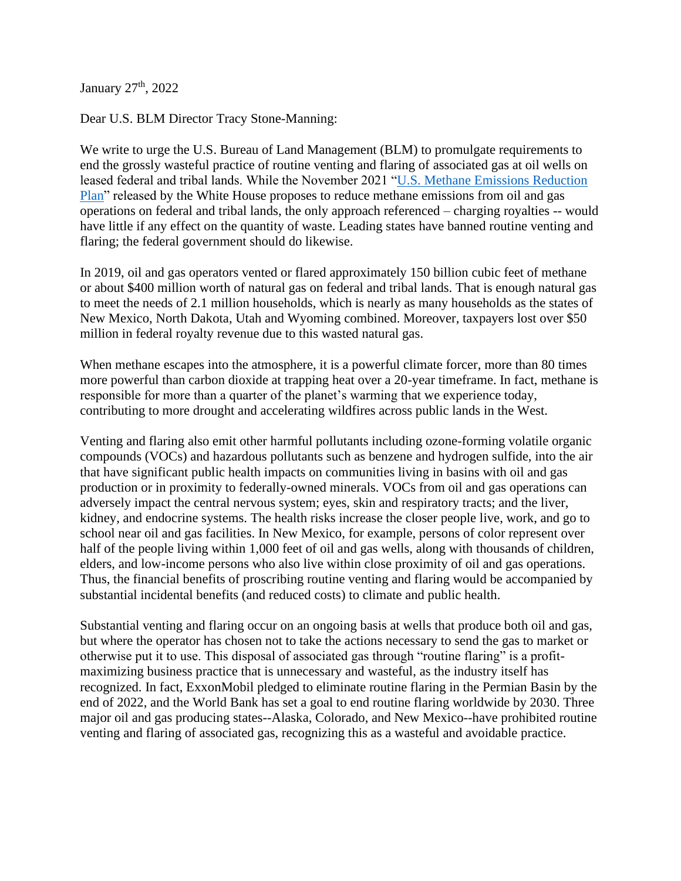January 27<sup>th</sup>, 2022

Dear U.S. BLM Director Tracy Stone-Manning:

We write to urge the U.S. Bureau of Land Management (BLM) to promulgate requirements to end the grossly wasteful practice of routine venting and flaring of associated gas at oil wells on leased federal and tribal lands. While the November 2021 ["U.S. Methane Emissions Reduction](https://www.whitehouse.gov/wp-content/uploads/2021/11/US-Methane-Emissions-Reduction-Action-Plan-1.pdf)  [Plan"](https://www.whitehouse.gov/wp-content/uploads/2021/11/US-Methane-Emissions-Reduction-Action-Plan-1.pdf) released by the White House proposes to reduce methane emissions from oil and gas operations on federal and tribal lands, the only approach referenced – charging royalties -- would have little if any effect on the quantity of waste. Leading states have banned routine venting and flaring; the federal government should do likewise.

In 2019, oil and gas operators vented or flared approximately 150 billion cubic feet of methane or about \$400 million worth of natural gas on federal and tribal lands. That is enough natural gas to meet the needs of 2.1 million households, which is nearly as many households as the states of New Mexico, North Dakota, Utah and Wyoming combined. Moreover, taxpayers lost over \$50 million in federal royalty revenue due to this wasted natural gas.

When methane escapes into the atmosphere, it is a powerful climate forcer, more than 80 times more powerful than carbon dioxide at trapping heat over a 20-year timeframe. In fact, methane is responsible for more than a quarter of the planet's warming that we experience today, contributing to more drought and accelerating wildfires across public lands in the West.

Venting and flaring also emit other harmful pollutants including ozone-forming volatile organic compounds (VOCs) and hazardous pollutants such as benzene and hydrogen sulfide, into the air that have significant public health impacts on communities living in basins with oil and gas production or in proximity to federally-owned minerals. VOCs from oil and gas operations can adversely impact the central nervous system; eyes, skin and respiratory tracts; and the liver, kidney, and endocrine systems. The health risks increase the closer people live, work, and go to school near oil and gas facilities. In New Mexico, for example, persons of color represent over half of the people living within 1,000 feet of oil and gas wells, along with thousands of children, elders, and low-income persons who also live within close proximity of oil and gas operations. Thus, the financial benefits of proscribing routine venting and flaring would be accompanied by substantial incidental benefits (and reduced costs) to climate and public health.

Substantial venting and flaring occur on an ongoing basis at wells that produce both oil and gas, but where the operator has chosen not to take the actions necessary to send the gas to market or otherwise put it to use. This disposal of associated gas through "routine flaring" is a profitmaximizing business practice that is unnecessary and wasteful, as the industry itself has recognized. In fact, ExxonMobil pledged to eliminate routine flaring in the Permian Basin by the end of 2022, and the World Bank has set a goal to end routine flaring worldwide by 2030. Three major oil and gas producing states--Alaska, Colorado, and New Mexico--have prohibited routine venting and flaring of associated gas, recognizing this as a wasteful and avoidable practice.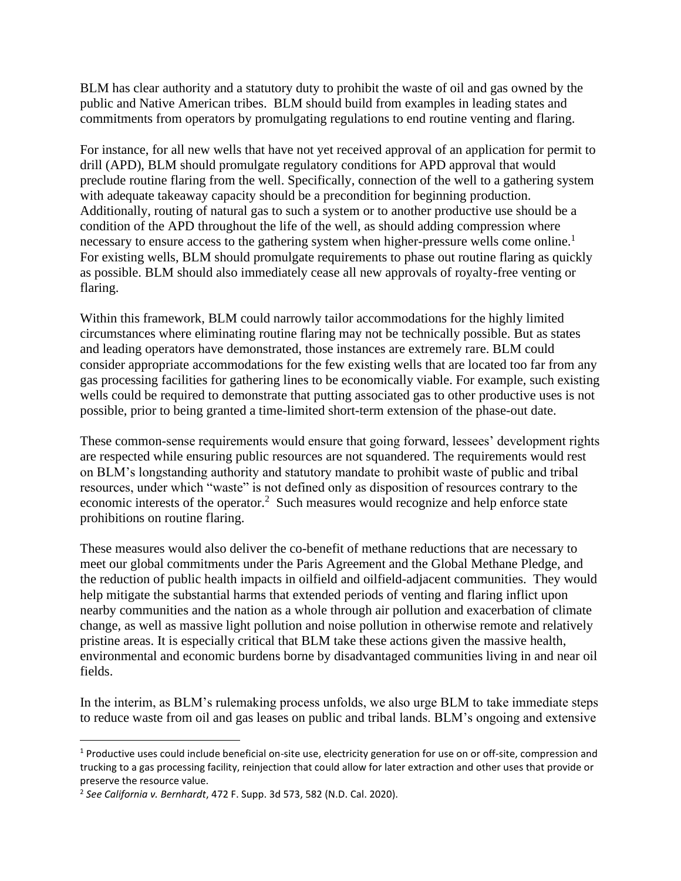BLM has clear authority and a statutory duty to prohibit the waste of oil and gas owned by the public and Native American tribes. BLM should build from examples in leading states and commitments from operators by promulgating regulations to end routine venting and flaring.

For instance, for all new wells that have not yet received approval of an application for permit to drill (APD), BLM should promulgate regulatory conditions for APD approval that would preclude routine flaring from the well. Specifically, connection of the well to a gathering system with adequate takeaway capacity should be a precondition for beginning production. Additionally, routing of natural gas to such a system or to another productive use should be a condition of the APD throughout the life of the well, as should adding compression where necessary to ensure access to the gathering system when higher-pressure wells come online.<sup>1</sup> For existing wells, BLM should promulgate requirements to phase out routine flaring as quickly as possible. BLM should also immediately cease all new approvals of royalty-free venting or flaring.

Within this framework, BLM could narrowly tailor accommodations for the highly limited circumstances where eliminating routine flaring may not be technically possible. But as states and leading operators have demonstrated, those instances are extremely rare. BLM could consider appropriate accommodations for the few existing wells that are located too far from any gas processing facilities for gathering lines to be economically viable. For example, such existing wells could be required to demonstrate that putting associated gas to other productive uses is not possible, prior to being granted a time-limited short-term extension of the phase-out date.

These common-sense requirements would ensure that going forward, lessees' development rights are respected while ensuring public resources are not squandered. The requirements would rest on BLM's longstanding authority and statutory mandate to prohibit waste of public and tribal resources, under which "waste" is not defined only as disposition of resources contrary to the economic interests of the operator.<sup>2</sup> Such measures would recognize and help enforce state prohibitions on routine flaring.

These measures would also deliver the co-benefit of methane reductions that are necessary to meet our global commitments under the Paris Agreement and the Global Methane Pledge, and the reduction of public health impacts in oilfield and oilfield-adjacent communities. They would help mitigate the substantial harms that extended periods of venting and flaring inflict upon nearby communities and the nation as a whole through air pollution and exacerbation of climate change, as well as massive light pollution and noise pollution in otherwise remote and relatively pristine areas. It is especially critical that BLM take these actions given the massive health, environmental and economic burdens borne by disadvantaged communities living in and near oil fields.

In the interim, as BLM's rulemaking process unfolds, we also urge BLM to take immediate steps to reduce waste from oil and gas leases on public and tribal lands. BLM's ongoing and extensive

 $1$  Productive uses could include beneficial on-site use, electricity generation for use on or off-site, compression and trucking to a gas processing facility, reinjection that could allow for later extraction and other uses that provide or preserve the resource value.

<sup>2</sup> *See California v. Bernhardt*, 472 F. Supp. 3d 573, 582 (N.D. Cal. 2020).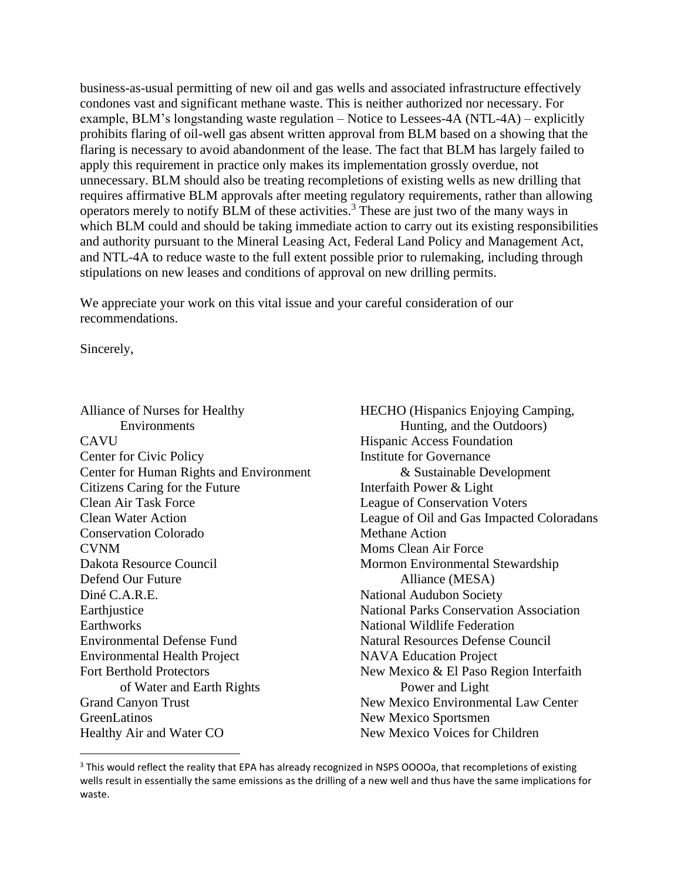business-as-usual permitting of new oil and gas wells and associated infrastructure effectively condones vast and significant methane waste. This is neither authorized nor necessary. For example, BLM's longstanding waste regulation – Notice to Lessees-4A (NTL-4A) – explicitly prohibits flaring of oil-well gas absent written approval from BLM based on a showing that the flaring is necessary to avoid abandonment of the lease. The fact that BLM has largely failed to apply this requirement in practice only makes its implementation grossly overdue, not unnecessary. BLM should also be treating recompletions of existing wells as new drilling that requires affirmative BLM approvals after meeting regulatory requirements, rather than allowing operators merely to notify BLM of these activities.<sup>3</sup> These are just two of the many ways in which BLM could and should be taking immediate action to carry out its existing responsibilities and authority pursuant to the Mineral Leasing Act, Federal Land Policy and Management Act, and NTL-4A to reduce waste to the full extent possible prior to rulemaking, including through stipulations on new leases and conditions of approval on new drilling permits.

We appreciate your work on this vital issue and your careful consideration of our recommendations.

Sincerely,

Alliance of Nurses for Healthy Environments **CAVU** Center for Civic Policy Center for Human Rights and Environment Citizens Caring for the Future Clean Air Task Force Clean Water Action Conservation Colorado CVNM Dakota Resource Council Defend Our Future Diné C.A.R.E. Earthjustice **Earthworks** Environmental Defense Fund Environmental Health Project Fort Berthold Protectors of Water and Earth Rights Grand Canyon Trust **GreenLatinos** Healthy Air and Water CO

HECHO (Hispanics Enjoying Camping, Hunting, and the Outdoors) Hispanic Access Foundation Institute for Governance & Sustainable Development Interfaith Power & Light League of Conservation Voters League of Oil and Gas Impacted Coloradans Methane Action Moms Clean Air Force Mormon Environmental Stewardship Alliance (MESA) National Audubon Society National Parks Conservation Association National Wildlife Federation Natural Resources Defense Council NAVA Education Project New Mexico & El Paso Region Interfaith Power and Light New Mexico Environmental Law Center New Mexico Sportsmen New Mexico Voices for Children

<sup>&</sup>lt;sup>3</sup> This would reflect the reality that EPA has already recognized in NSPS OOOOa, that recompletions of existing wells result in essentially the same emissions as the drilling of a new well and thus have the same implications for waste.